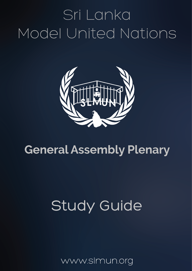# Sri Lanka Model United Nations



# **General Assembly Plenary**

# Study Guide

www.slmun.org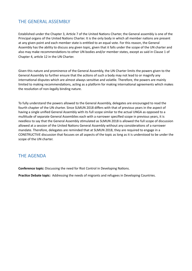### THE GENERAL ASSEMBLY

Established under the Chapter 3, Article 7 of the United Nations Charter, the General assembly is one of the Principal organs of the United Nations Charter. It is the only body in which all member nations are present at any given point and each member state is entitled to an equal vote. For this reason, the General Assembly has the ability to discuss any given topic, given that it falls under the scope of the UN charter and also may make recommendations to other UN bodies and/or member states, except as said in Clause 1 of Chapter 4, article 12 in the UN Charter.

Given this nature and prominence of the General Assembly, the UN Charter limits the powers given to the General Assembly to further ensure that the actions of such a body may not lead to or magnify any international disputes which are almost always sensitive and volatile. Therefore, the powers are mainly limited to making recommendations, acting as a platform for making international agreements which makes the resolution of non-legally binding nature.

To fully understand the powers allowed to the General Assembly, delegates are encouraged to read the fourth chapter of the UN charter. Since SLMUN 2018 differs with that of previous years in the aspect of having a single unified General Assembly with its full scope similar to the actual UNGA as opposed to a multitude of separate General Assemblies each with a narrower specified scope in previous years, it is needless to say that the General Assembly stimulated as SLMUN 2018 is allowed the full scope of discussion allowed at a session of the United Nations General Assembly without any considerations of a narrower mandate. Therefore, delegates are reminded that at SLMUN 2018, they are required to engage in a CONSTRUCTIVE discussion that focuses on all aspects of the topic as long as it is understood to be under the scope of the UN charter.

### **THE AGENDA**

**Conference topic:** Discussing the need for Riot Control in Developing Nations.

Practice Debate topic: Addressing the needs of migrants and refugees in Developing Countries.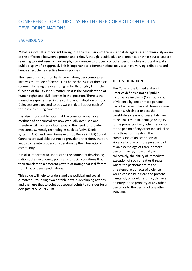# CONFERENCE TOPIC: DISCUSSING THE NEED OF RIOT CONTROL IN DEVELOPING NATIONS

#### **BACKGROUND**

What is a riot? It is important throughout the discussion of this issue that delegates are continuously aware of the difference between a protest and a riot. Although is subjective and depends on what source you are referring to a riot usually involves physical damage to property or other persons while a protest is just a public display of disapproval. This is important as different nations may also have varying definitions and hence affect the respective foreign policies.

The issue of riot control, by its very nature, very complex as it involves multitude of factors. First being the issue of domestic sovereignty being the overriding factor that highly limits the function of the UN in this matter. Next is the consideration of human rights and civil liberties in the question. There is the issue of weaponry used in the control and mitigation of riots. Delegates are expected to be aware in detail about each of these issues during conference.

It is also important to note that the commonly available methods of riot control are now gradually overused and therefore will sooner or later expand the need for broader measures. Currently technologies such as Active Denial systems (ADS) and Long Range Acoustic Device (LRAD) Sound Cannons are available but not so prevalent, therefore, they are yet to come into proper consideration by the international community. 

It is also important to understand the context of developing nations, their economic, political and social conditions that then translate to a different pattern of rioting that is different from that of developed nations.

This guide will help to understand the political and social climates surrounding two notable riots in developing nations and then use that to point out several points to consider for a delegate at SLMUN 2018.

#### **THE U.S. DEFINITION**

The Code of the United States of America defines a riot as "public disturbance involving (1) an act or acts of violence by one or more persons part of an assemblage of three or more persons, which act or acts shall constitute a clear and present danger of, or shall result in, damage or injury to the property of any other person or to the person of any other individual or (2) a threat or threats of the commission of an act or acts of violence by one or more persons part of an assemblage of three or more persons having, individually or collectively, the ability of immediate execution of such threat or threats, where the performance of the threatened act or acts of violence would constitute a clear and present danger of, or would result in, damage or injury to the property of any other person or to the person of any other individual.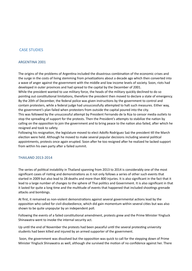#### **CASE STUDIES**

#### **ARGENTINA 2001**

The origins of the problems of Argentina included the disastrous combination of the economic crises and the surge in the costs of living stemming from privatizations about a decade ago which then converted into a wave of anger against the government with the middle and low income levels of society. Soon, riots had developed in outer provinces and had spread to the capital by the December of 2001.

While the president wanted to use military force, the heads of the military quickly declined to do so pointing out constitutional limitations, therefore the president then moved to declare a state of emergency. By the 20th of December, the federal police was given instructions by the government to control and contain protesters, while a federal judge had unsuccessfully attempted to halt such measures. Either way, the government's plan failed when protesters from outside the capital poured into the city. This was followed by the unsuccessful attempt by President Fernando de la Rúa to censor media outlets to

stop the spreading of support for the protests. Then the President's attempts to stabilize the nation by calling on the opposition to join the government and to bring peace to the nation also failed, after which he resigned and took to safety.

Following his resignation, the legislature moved to elect Adolfo Rodríguez Saá the president till the March election were held. Although he moved to make several popular decisions including several political appointments, protests once again erupted. Soon after he too resigned after he realized he lacked support from within his own party after a failed summit.

#### THAILAND 2013-2014

The series of political instability in Thailand spanning from 2013 to 2014 is considerably one of the most significant cases of rioting and demonstrations as it not only follows a series of other such events that started in 2009 but also lead to 28 deaths and more than 800 injuries. It is also significant in the fact that it lead to a large number of changes to the sphere of Thai politics and Government. It is also significant in that it lasted for quite a long time and the multitude of events that happened that included shootings grenade attacks and bombings.

At first, it remained as non-violent demonstrations against several governmental actions lead by the opposition who called for civil-disobedience, which did gain momentum within several cities but was also shown to be quite unpopular by an independent poll.

Following the events of a failed constitutional amendment, protests grew and the Prime Minister Yingluck Shinawatra went to invoke the internal security act.

Up until the end of November the protests had been peaceful until the several protesting university students had been killed and injured by an armed supporter of the government.

Soon, the government was dissolved but the opposition was quick to call for the stepping down of Prime Minister Yingluck Shinawatra as well, although she survived the motion of no confidence against her. There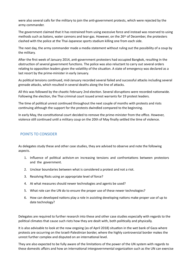were also several calls for the military to join the anti-government protests, which were rejected by the army commander.

The government claimed that it has restrained from using excessive force and instead was reserved to using methods such as batons, water cannons and tear-gas. However, on the 26<sup>th</sup> of December, the protesters clashed with the police at the Thai-Japanese sports stadium killing one from each side.

The next day, the army commander made a media statement without ruling out the possibility of a coup by the military.

After the first week of January 2014, anti-government protesters had occupied Bangkok, resulting in the obstruction of several government functions. The police was also reluctant to carry out several orders relating to opposition leaders given the volatility of the situation. A state of emergency was declared as a last resort by the prime-minister in early January.

As political tensions continued, mid-January recorded several failed and successful attacks including several grenade attacks, which resulted in several deaths along the line of attacks.

All this was followed by the chaotic February 2nd election. Several disruptions were recorded nationwide. Following the election, the Thai criminal court issued arrest warrants for 19 protest leaders.

The time of political unrest continued throughout the next couple of months with protests and riots continuing although the support for the protests dwindled compared to the beginning.

In early May, the constitutional court decided to remove the prime-minister from the office. However, violence still continued until a military coup on the 20th of May finally settled the time of violence.

#### POINTS TO CONSIDER

As delegates study these and other case studies, they are advised to observe and note the following aspects. 

- 1. Influence of political activism on increasing tensions and confrontations between protestors and the government.
- 2. Unclear boundaries between what is considered a protest and not a riot.
- 3. Resolving Riots using an appropriate level of force?
- 4. At what measures should newer technologies and agents be used?
- 5. What role can the UN do to ensure the proper use of these newer technologies?
- 6. How can developed nations play a role in assisting developing nations make proper use of up to date technology?

Delegates are required to further research into these and other case studies especially with regards to the political climates that cause such riots how they are dealt with, both politically and physically.

It is also advisable to look at the now ongoing (as of April 2018) situation in the wet bank of Gaza where protests are occurring on the Israeli-Palestinian border, where the highly controversial border makes the unrest further complex and disputed on an international level.

They are also expected to be fully aware of the limitations of the power of the UN system with regards to these domestic affairs and how an international intergovernmental organization such as the UN can exercise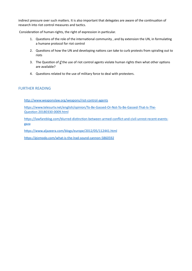indirect pressure over such matters. It is also important that delegates are aware of the continuation of research into riot control measures and tactics.

Consideration of human-rights, the right of expression in particular.

- 1. Questions of the role of the international community, and by extension the UN, in formulating a humane protocol for riot control
- 2. Questions of how the UN and developing nations can take to curb protests from spiraling out to riots
- 3. The Question of *if* the use of riot control agents violate human rights then what other options are available?
- 4. Questions related to the use of military force to deal with protesters.

#### **FURTHER READING**

http://www.weaponslaw.org/weapons/riot-control-agents

https://www.telesurtv.net/english/opinion/To-Be-Gassed-Or-Not-To-Be-Gassed-That-Is-The-Question-20180330-0009.html

https://lawfareblog.com/blurred-distinction-between-armed-conflict-and-civil-unrest-recent-events[gaza](https://lawfareblog.com/blurred-distinction-between-armed-conflict-and-civil-unrest-recent-events-gaza)

https://www.aljazeera.com/blogs/europe/2012/05/112441.html

https://gizmodo.com/what-is-the-lrad-sound-cannon-5860592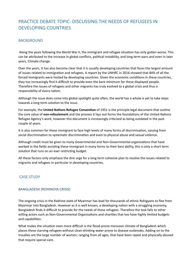# PRACTICE DEBATE TOPIC: DISCUSSING THE NEEDS OF REFUGEES IN DEVELOPING COUNTRIES

#### **BACKGROUND**

Along the years following the World War II, the immigrant and refugee situation has only gotten worse. This can be attributed to the increase in global conflicts, political instability, and long term wars and even in later years, Climate change.

Over the years, it has also become clear that it is usually developing countries that faces the largest amount of issues related to immigration and refugees. A report by the UNHRC in 2016 showed that 84% of all the forced immigrants were hosted by developing countries. Given the economic conditions in these countries, they too increasingly find it difficult to provide even the bare minimum for these displayed people. Therefore the issues of refugees and other migrants has truly evolved to a global crisis and thus a responsibility of every nation.

Although the issue does come into global spotlight quite often, the world has a whole is yet to take steps towards a long term solution to the issue.

For example, the **United Nations Refugee Convention** of 1951 is the principle legal document that outline the core value of **non-refoulement** and the process it lays out forms the foundations of the United Nations Refugee Agency's work, however this document is increasingly criticized as being outdated in the past couple of years.

It is also common for these immigrant to face high levels of many forms of discrimination, varying from social discrimination to systematic discrimination and even to physical abuse and sexual violence.

Although credit must be given to many Governmental and Non-Governmental organizations that have worked in the fields assisting these immigrant in many forms to their best ability, this is only a short term solution that runs on an ever restricting budget.

All these factors only emphasis the dire urge for a long term cohesive plan to resolve the issues related to migrants and refugees in particular in developing countries.

#### **CASE STUDY**

#### BANGLADESH (ROHINGYA CRISIS)

The ongoing crisis in the Rakhine state of Myanmar has lead for thousands of ethnic Rohigyans to flee from Myanmar into Bangladesh. However as it is well known, a developing nation with a struggling economy, Bangladesh finds it difficult to provide for the needs of these refugees. Therefore the task falls to other willing actors such as Non-Governmental Organizations and charities that too have highly limited budgets and capabilities.

What makes the situation even more difficult is the flood-prone monsoon climate of Bangladesh which places these starving refugees without clean drinking water prone to disease outbreaks. Adding on to the troubles are the large number of women, ranging from all ages, that have been raped and physically abused that require special care.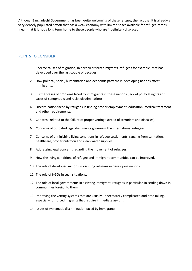Although Bangladeshi Government has been quite welcoming of these refuges, the fact that it is already a very densely populated nation that has a weak economy with limited space available for refugee camps mean that it is not a long term home to these people who are indefinitely displaced.

#### POINTS TO CONSIDER

- 1. Specific causes of migration, in particular forced migrants, refugees for example, that has developed over the last couple of decades.
- 2. How political, social, humanitarian and economic patterns in developing nations affect immigrants.
- 3. Further cases of problems faced by immigrants in these nations (lack of political rights and cases of xenophobic and racist discrimination)
- 4. Discrimination faced by refugees in finding proper employment, education, medical treatment and other requirements.
- 5. Concerns related to the failure of proper vetting (spread of terrorism and diseases).
- 6. Concerns of outdated legal documents governing the international refugees.
- 7. Concerns of diminishing living conditions in refugee settlements, ranging from sanitation, healthcare, proper nutrition and clean water supplies.
- 8. Addressing legal concerns regarding the movement of refugees.
- 9. How the living conditions of refugee and immigrant communities can be improved.
- 10. The role of developed nations in assisting refugees in developing nations.
- 11. The role of NGOs in such situations.
- 12. The role of local governments in assisting immigrant, refugees in particular, in settling down in communities foreign to them.
- 13. Improving the vetting systems that are usually unnecessarily complicated and time taking, especially for forced migrants that require immediate asylum.
- 14. Issues of systematic discrimination faced by immigrants.